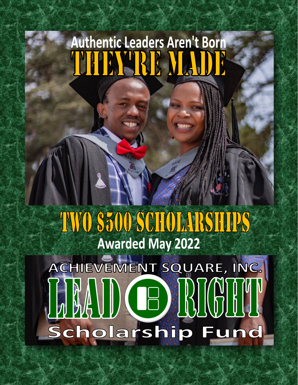# **Authentic Leaders Aren't Born** THE TERM MADE

## TWO \$500 SCHOLARSHIPS **Awarded May 2022**

ACHIEVEMENT SQUARE, INC. **LAND CE RICH!** Scholarship Fund